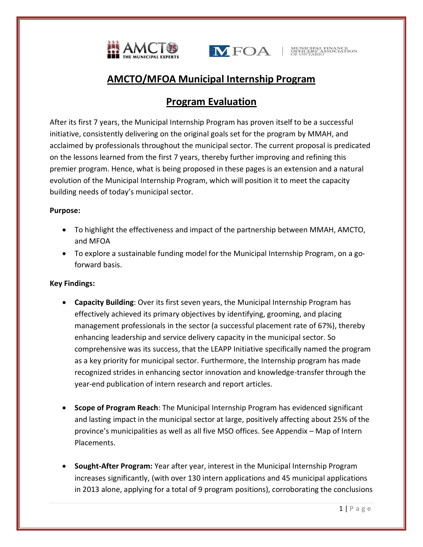



# **AMCTO/MFOA Municipal Internship Program**

# **Program Evaluation**

After its first 7 years, the Municipal Internship Program has proven itself to be a successful initiative, consistently delivering on the original goals set for the program by MMAH, and acclaimed by professionals throughout the municipal sector. The current proposal is predicated on the lessons learned from the first 7 years, thereby further improving and refining this premier program. Hence, what is being proposed in these pages is an extension and a natural evolution of the Municipal Internship Program, which will position it to meet the capacity building needs of today's municipal sector.

## **Purpose:**

- To highlight the effectiveness and impact of the partnership between MMAH, AMCTO, and MFOA
- To explore a sustainable funding model for the Municipal Internship Program, on a goforward basis.

## **Key Findings:**

- **Capacity Building**: Over its first seven years, the Municipal Internship Program has effectively achieved its primary objectives by identifying, grooming, and placing management professionals in the sector (a successful placement rate of 67%), thereby enhancing leadership and service delivery capacity in the municipal sector. So comprehensive was its success, that the LEAPP Initiative specifically named the program as a key priority for municipal sector. Furthermore, the Internship program has made recognized strides in enhancing sector innovation and knowledge-transfer through the year-end publication of intern research and report articles.
- **Scope of Program Reach**: The Municipal Internship Program has evidenced significant and lasting impact in the municipal sector at large, positively affecting about 25% of the province's municipalities as well as all five MSO offices. See Appendix – Map of Intern Placements.
- **Sought-After Program:** Year after year, interest in the Municipal Internship Program increases significantly, (with over 130 intern applications and 45 municipal applications in 2013 alone, applying for a total of 9 program positions), corroborating the conclusions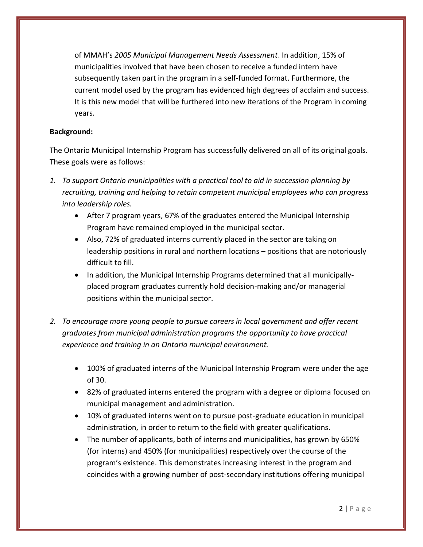of MMAH's *2005 Municipal Management Needs Assessment*. In addition, 15% of municipalities involved that have been chosen to receive a funded intern have subsequently taken part in the program in a self-funded format. Furthermore, the current model used by the program has evidenced high degrees of acclaim and success. It is this new model that will be furthered into new iterations of the Program in coming years.

## **Background:**

The Ontario Municipal Internship Program has successfully delivered on all of its original goals. These goals were as follows:

- *1. To support Ontario municipalities with a practical tool to aid in succession planning by recruiting, training and helping to retain competent municipal employees who can progress into leadership roles.*
	- After 7 program years, 67% of the graduates entered the Municipal Internship Program have remained employed in the municipal sector.
	- Also, 72% of graduated interns currently placed in the sector are taking on leadership positions in rural and northern locations – positions that are notoriously difficult to fill.
	- In addition, the Municipal Internship Programs determined that all municipallyplaced program graduates currently hold decision-making and/or managerial positions within the municipal sector.
- *2. To encourage more young people to pursue careers in local government and offer recent graduates from municipal administration programs the opportunity to have practical experience and training in an Ontario municipal environment.*
	- 100% of graduated interns of the Municipal Internship Program were under the age of 30.
	- 82% of graduated interns entered the program with a degree or diploma focused on municipal management and administration.
	- 10% of graduated interns went on to pursue post-graduate education in municipal administration, in order to return to the field with greater qualifications.
	- The number of applicants, both of interns and municipalities, has grown by 650% (for interns) and 450% (for municipalities) respectively over the course of the program's existence. This demonstrates increasing interest in the program and coincides with a growing number of post-secondary institutions offering municipal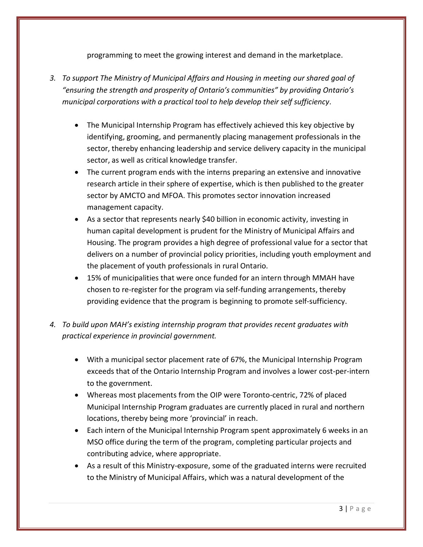programming to meet the growing interest and demand in the marketplace.

- *3. To support The Ministry of Municipal Affairs and Housing in meeting our shared goal of "ensuring the strength and prosperity of Ontario's communities" by providing Ontario's municipal corporations with a practical tool to help develop their self sufficiency.*
	- The Municipal Internship Program has effectively achieved this key objective by identifying, grooming, and permanently placing management professionals in the sector, thereby enhancing leadership and service delivery capacity in the municipal sector, as well as critical knowledge transfer.
	- The current program ends with the interns preparing an extensive and innovative research article in their sphere of expertise, which is then published to the greater sector by AMCTO and MFOA. This promotes sector innovation increased management capacity.
	- As a sector that represents nearly \$40 billion in economic activity, investing in human capital development is prudent for the Ministry of Municipal Affairs and Housing. The program provides a high degree of professional value for a sector that delivers on a number of provincial policy priorities, including youth employment and the placement of youth professionals in rural Ontario.
	- 15% of municipalities that were once funded for an intern through MMAH have chosen to re-register for the program via self-funding arrangements, thereby providing evidence that the program is beginning to promote self-sufficiency.
- *4. To build upon MAH's existing internship program that provides recent graduates with practical experience in provincial government.*
	- With a municipal sector placement rate of 67%, the Municipal Internship Program exceeds that of the Ontario Internship Program and involves a lower cost-per-intern to the government.
	- Whereas most placements from the OIP were Toronto-centric, 72% of placed Municipal Internship Program graduates are currently placed in rural and northern locations, thereby being more 'provincial' in reach.
	- Each intern of the Municipal Internship Program spent approximately 6 weeks in an MSO office during the term of the program, completing particular projects and contributing advice, where appropriate.
	- As a result of this Ministry-exposure, some of the graduated interns were recruited to the Ministry of Municipal Affairs, which was a natural development of the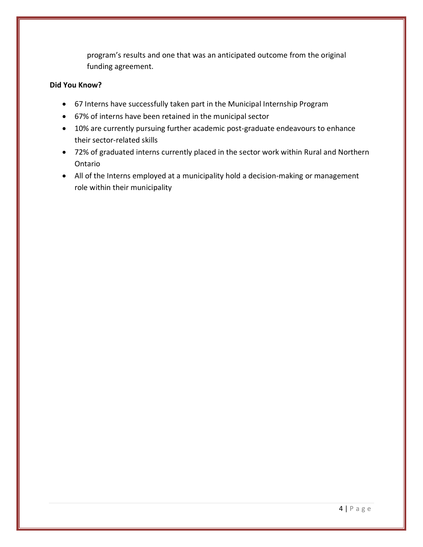program's results and one that was an anticipated outcome from the original funding agreement.

### **Did You Know?**

- 67 Interns have successfully taken part in the Municipal Internship Program
- 67% of interns have been retained in the municipal sector
- 10% are currently pursuing further academic post-graduate endeavours to enhance their sector-related skills
- 72% of graduated interns currently placed in the sector work within Rural and Northern Ontario
- All of the Interns employed at a municipality hold a decision-making or management role within their municipality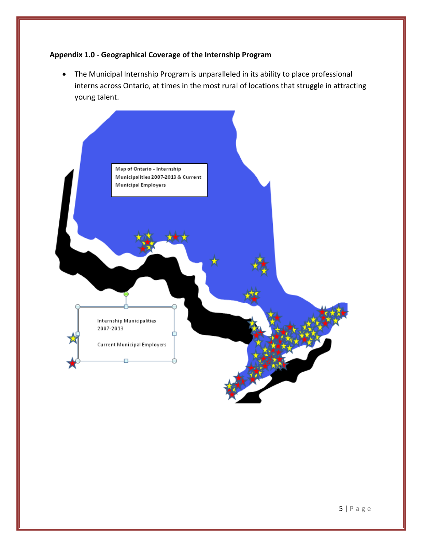## **Appendix 1.0 - Geographical Coverage of the Internship Program**

 The Municipal Internship Program is unparalleled in its ability to place professional interns across Ontario, at times in the most rural of locations that struggle in attracting young talent.